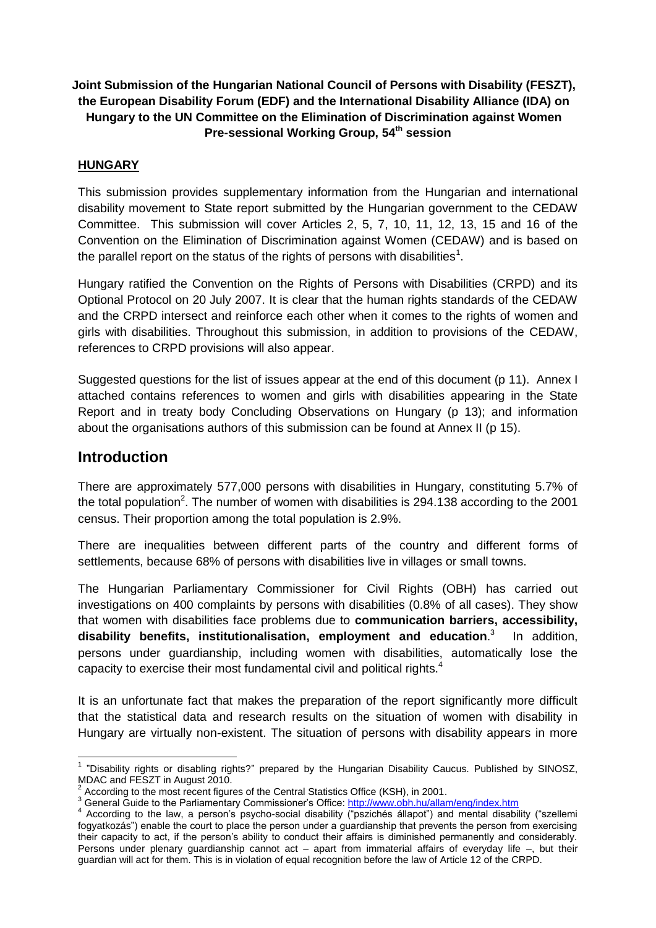# **Joint Submission of the Hungarian National Council of Persons with Disability (FESZT), the European Disability Forum (EDF) and the International Disability Alliance (IDA) on Hungary to the UN Committee on the Elimination of Discrimination against Women Pre-sessional Working Group, 54th session**

## **HUNGARY**

This submission provides supplementary information from the Hungarian and international disability movement to State report submitted by the Hungarian government to the CEDAW Committee. This submission will cover Articles 2, 5, 7, 10, 11, 12, 13, 15 and 16 of the Convention on the Elimination of Discrimination against Women (CEDAW) and is based on the parallel report on the status of the rights of persons with disabilities<sup>1</sup>.

Hungary ratified the Convention on the Rights of Persons with Disabilities (CRPD) and its Optional Protocol on 20 July 2007. It is clear that the human rights standards of the CEDAW and the CRPD intersect and reinforce each other when it comes to the rights of women and girls with disabilities. Throughout this submission, in addition to provisions of the CEDAW, references to CRPD provisions will also appear.

Suggested questions for the list of issues appear at the end of this document (p 11). Annex I attached contains references to women and girls with disabilities appearing in the State Report and in treaty body Concluding Observations on Hungary (p 13); and information about the organisations authors of this submission can be found at Annex II (p 15).

# **Introduction**

There are approximately 577,000 persons with disabilities in Hungary, constituting 5.7% of the total population<sup>2</sup>. The number of women with disabilities is 294.138 according to the 2001 census. Their proportion among the total population is 2.9%.

There are inequalities between different parts of the country and different forms of settlements, because 68% of persons with disabilities live in villages or small towns.

The Hungarian Parliamentary Commissioner for Civil Rights (OBH) has carried out investigations on 400 complaints by persons with disabilities (0.8% of all cases). They show that women with disabilities face problems due to **communication barriers, accessibility, disability benefits, institutionalisation, employment and education**. 3 In addition, persons under guardianship, including women with disabilities, automatically lose the capacity to exercise their most fundamental civil and political rights.<sup>4</sup>

It is an unfortunate fact that makes the preparation of the report significantly more difficult that the statistical data and research results on the situation of women with disability in Hungary are virtually non-existent. The situation of persons with disability appears in more

**<sup>.</sup>** <sup>1</sup> "Disability rights or disabling rights?" prepared by the Hungarian Disability Caucus. Published by SINOSZ, MDAC and FESZT in August 2010.

 $2$  According to the most recent figures of the Central Statistics Office (KSH), in 2001.

<sup>3</sup> General Guide to the Parliamentary Commissioner's Office:<http://www.obh.hu/allam/eng/index.htm>

<sup>&</sup>lt;sup>4</sup> According to the law, a person's psycho-social disability ("pszichés állapot") and mental disability ("szellemi fogyatkozás") enable the court to place the person under a guardianship that prevents the person from exercising their capacity to act, if the person's ability to conduct their affairs is diminished permanently and considerably. Persons under plenary guardianship cannot act – apart from immaterial affairs of everyday life –, but their guardian will act for them. This is in violation of equal recognition before the law of Article 12 of the CRPD.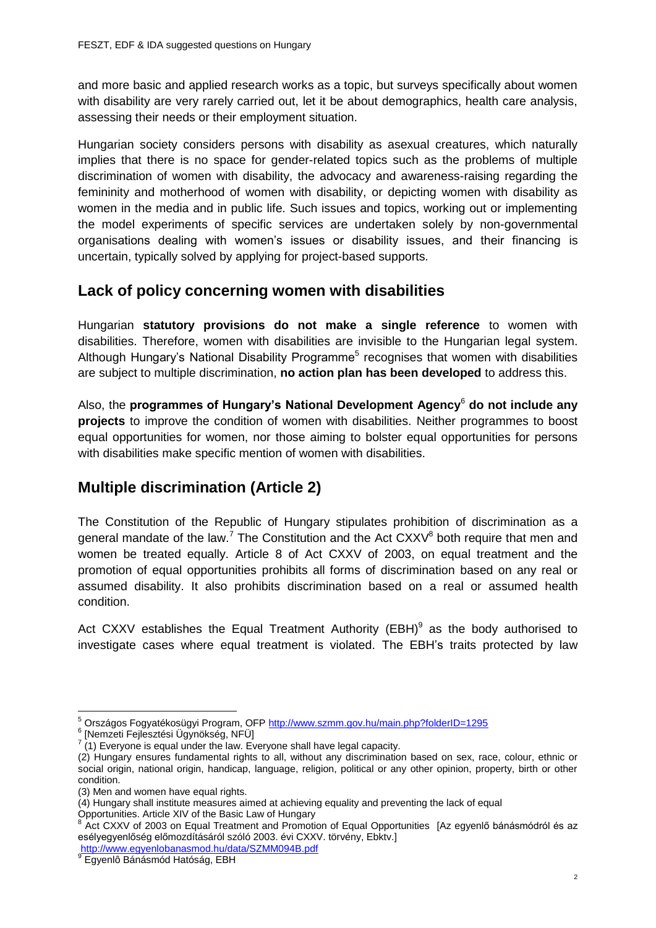and more basic and applied research works as a topic, but surveys specifically about women with disability are very rarely carried out, let it be about demographics, health care analysis, assessing their needs or their employment situation.

Hungarian society considers persons with disability as asexual creatures, which naturally implies that there is no space for gender-related topics such as the problems of multiple discrimination of women with disability, the advocacy and awareness-raising regarding the femininity and motherhood of women with disability, or depicting women with disability as women in the media and in public life. Such issues and topics, working out or implementing the model experiments of specific services are undertaken solely by non-governmental organisations dealing with women's issues or disability issues, and their financing is uncertain, typically solved by applying for project-based supports.

# **Lack of policy concerning women with disabilities**

Hungarian **statutory provisions do not make a single reference** to women with disabilities. Therefore, women with disabilities are invisible to the Hungarian legal system. Although Hungary's National Disability Programme<sup>5</sup> recognises that women with disabilities are subject to multiple discrimination, **no action plan has been developed** to address this.

Also, the **programmes of Hungary's National Development Agency**<sup>6</sup> **do not include any projects** to improve the condition of women with disabilities. Neither programmes to boost equal opportunities for women, nor those aiming to bolster equal opportunities for persons with disabilities make specific mention of women with disabilities.

# **Multiple discrimination (Article 2)**

The Constitution of the Republic of Hungary stipulates prohibition of discrimination as a general mandate of the law.<sup>7</sup> The Constitution and the Act  $CXXV^8$  both require that men and women be treated equally. Article 8 of Act CXXV of 2003, on equal treatment and the promotion of equal opportunities prohibits all forms of discrimination based on any real or assumed disability. It also prohibits discrimination based on a real or assumed health condition.

Act CXXV establishes the Equal Treatment Authority (EBH) $9$  as the body authorised to investigate cases where equal treatment is violated. The EBH's traits protected by law

6 [Nemzeti Fejlesztési Ügynökség, NFÜ]

 $\overline{a}$ <sup>5</sup> Országos Fogyatékosügyi Program, OFP http://www.szmm.gov.hu/main.php?folderID=1295

 $7(1)$  Everyone is equal under the law. Everyone shall have legal capacity.

<sup>(2)</sup> Hungary ensures fundamental rights to all, without any discrimination based on sex, race, colour, ethnic or social origin, national origin, handicap, language, religion, political or any other opinion, property, birth or other condition.

<sup>(3)</sup> Men and women have equal rights.

<sup>(4)</sup> Hungary shall institute measures aimed at achieving equality and preventing the lack of equal Opportunities. Article XIV of the Basic Law of Hungary<br><sup>8</sup> Act CXXV of 2002 an Equal Treatment and Premeti

Act CXXV of 2003 on Equal Treatment and Promotion of Equal Opportunities [Az egyenlő bánásmódról és az esélyegyenlőség előmozdításáról szóló 2003. évi CXXV. törvény, Ebktv.] <http://www.egyenlobanasmod.hu/data/SZMM094B.pdf>

<sup>&</sup>lt;sup>9</sup> Egyenlô Bánásmód Hatóság, EBH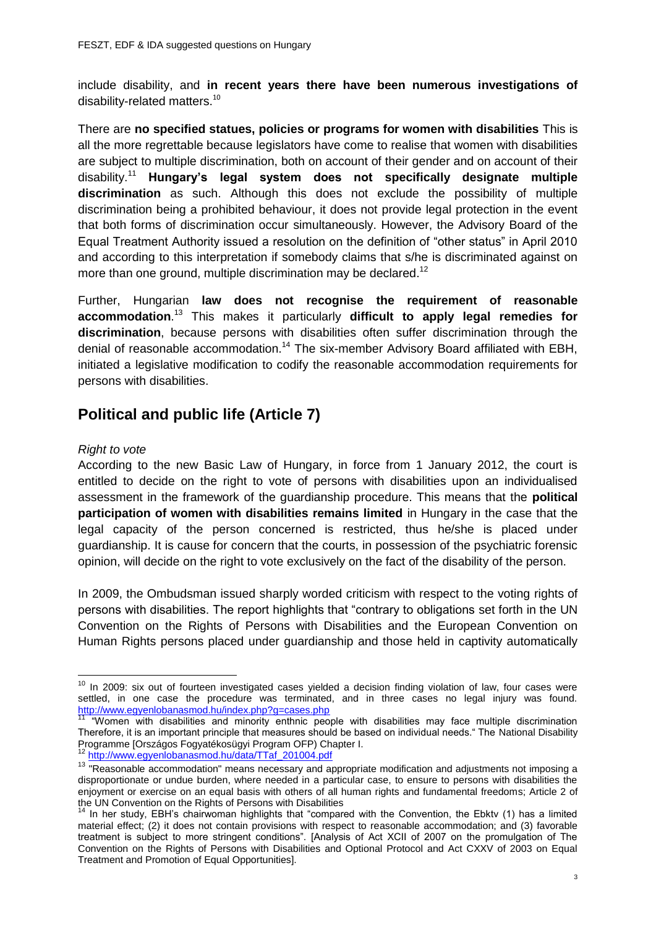include disability, and **in recent years there have been numerous investigations of**  disability-related matters.<sup>10</sup>

There are **no specified statues, policies or programs for women with disabilities** This is all the more regrettable because legislators have come to realise that women with disabilities are subject to multiple discrimination, both on account of their gender and on account of their disability.<sup>11</sup> **Hungary's legal system does not specifically designate multiple discrimination** as such. Although this does not exclude the possibility of multiple discrimination being a prohibited behaviour, it does not provide legal protection in the event that both forms of discrimination occur simultaneously. However, the Advisory Board of the Equal Treatment Authority issued a resolution on the definition of "other status" in April 2010 and according to this interpretation if somebody claims that s/he is discriminated against on more than one ground, multiple discrimination may be declared.<sup>12</sup>

Further, Hungarian **law does not recognise the requirement of reasonable accommodation**. <sup>13</sup> This makes it particularly **difficult to apply legal remedies for discrimination**, because persons with disabilities often suffer discrimination through the denial of reasonable accommodation.<sup>14</sup> The six-member Advisory Board affiliated with EBH, initiated a legislative modification to codify the reasonable accommodation requirements for persons with disabilities.

# **Political and public life (Article 7)**

### *Right to vote*

According to the new Basic Law of Hungary, in force from 1 January 2012, the court is entitled to decide on the right to vote of persons with disabilities upon an individualised assessment in the framework of the guardianship procedure. This means that the **political participation of women with disabilities remains limited** in Hungary in the case that the legal capacity of the person concerned is restricted, thus he/she is placed under guardianship. It is cause for concern that the courts, in possession of the psychiatric forensic opinion, will decide on the right to vote exclusively on the fact of the disability of the person.

In 2009, the Ombudsman issued sharply worded criticism with respect to the voting rights of persons with disabilities. The report highlights that "contrary to obligations set forth in the UN Convention on the Rights of Persons with Disabilities and the European Convention on Human Rights persons placed under guardianship and those held in captivity automatically

 $\overline{a}$  $10$  In 2009: six out of fourteen investigated cases yielded a decision finding violation of law, four cases were settled, in one case the procedure was terminated, and in three cases no legal injury was found. <http://www.egyenlobanasmod.hu/index.php?g=cases.php>

<sup>11 &</sup>quot;Women with disabilities and minority enthnic people with disabilities may face multiple discrimination Therefore, it is an important principle that measures should be based on individual needs." The National Disability Programme [Országos Fogyatékosügyi Program OFP) Chapter I.

[http://www.egyenlobanasmod.hu/data/TTaf\\_201004.pdf](http://www.egyenlobanasmod.hu/data/TTaf_201004.pdf)

<sup>&</sup>lt;sup>13</sup> "Reasonable accommodation" means necessary and appropriate modification and adjustments not imposing a disproportionate or undue burden, where needed in a particular case, to ensure to persons with disabilities the enjoyment or exercise on an equal basis with others of all human rights and fundamental freedoms; Article 2 of the UN Convention on the Rights of Persons with Disabilities

<sup>&</sup>lt;sup>14</sup> In her study, EBH's chairwoman highlights that "compared with the Convention, the Ebkty (1) has a limited material effect; (2) it does not contain provisions with respect to reasonable accommodation; and (3) favorable treatment is subject to more stringent conditions". [Analysis of Act XCII of 2007 on the promulgation of The Convention on the Rights of Persons with Disabilities and Optional Protocol and Act CXXV of 2003 on Equal Treatment and Promotion of Equal Opportunities].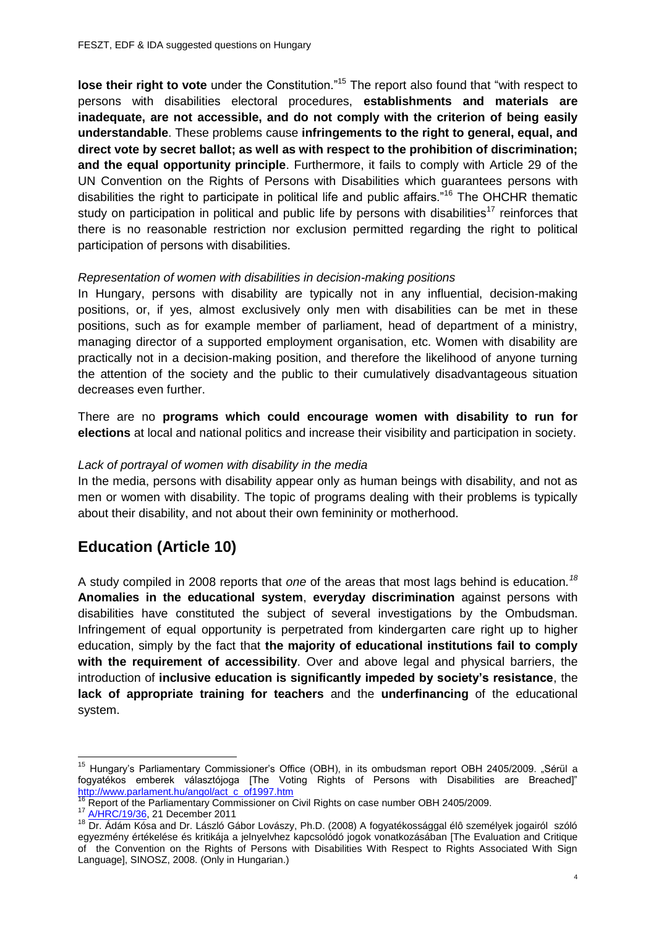**lose their right to vote** under the Constitution."<sup>15</sup> The report also found that "with respect to persons with disabilities electoral procedures, **establishments and materials are**  inadequate, are not accessible, and do not comply with the criterion of being easily **understandable**. These problems cause **infringements to the right to general, equal, and direct vote by secret ballot; as well as with respect to the prohibition of discrimination; and the equal opportunity principle**. Furthermore, it fails to comply with Article 29 of the UN Convention on the Rights of Persons with Disabilities which guarantees persons with disabilities the right to participate in political life and public affairs."<sup>16</sup> The OHCHR thematic study on participation in political and public life by persons with disabilities<sup>17</sup> reinforces that there is no reasonable restriction nor exclusion permitted regarding the right to political participation of persons with disabilities.

### *Representation of women with disabilities in decision-making positions*

In Hungary, persons with disability are typically not in any influential, decision-making positions, or, if yes, almost exclusively only men with disabilities can be met in these positions, such as for example member of parliament, head of department of a ministry, managing director of a supported employment organisation, etc. Women with disability are practically not in a decision-making position, and therefore the likelihood of anyone turning the attention of the society and the public to their cumulatively disadvantageous situation decreases even further.

There are no **programs which could encourage women with disability to run for elections** at local and national politics and increase their visibility and participation in society.

#### *Lack of portrayal of women with disability in the media*

In the media, persons with disability appear only as human beings with disability, and not as men or women with disability. The topic of programs dealing with their problems is typically about their disability, and not about their own femininity or motherhood.

# **Education (Article 10)**

A study compiled in 2008 reports that *one* of the areas that most lags behind is education*. 18* **Anomalies in the educational system**, **everyday discrimination** against persons with disabilities have constituted the subject of several investigations by the Ombudsman. Infringement of equal opportunity is perpetrated from kindergarten care right up to higher education, simply by the fact that **the majority of educational institutions fail to comply with the requirement of accessibility**. Over and above legal and physical barriers, the introduction of **inclusive education is significantly impeded by society's resistance**, the **lack of appropriate training for teachers** and the **underfinancing** of the educational system.

**.** 

<sup>&</sup>lt;sup>15</sup> Hungary's Parliamentary Commissioner's Office (OBH), in its ombudsman report OBH 2405/2009. "Sérül a fogyatékos emberek választójoga [The Voting Rights of Persons with Disabilities are Breached]" [http://www.parlament.hu/angol/act\\_c\\_of1997.htm](http://www.parlament.hu/angol/act_c_of1997.htm)

<sup>&</sup>lt;sup>16</sup> Report of the Parliamentary Commissioner on Civil Rights on case number OBH 2405/2009.

<sup>17</sup> [A/HRC/19/36,](http://www2.ohchr.org/english/bodies/hrcouncil/docs/19session/A.HRC.19.36_English.pdf) 21 December 2011

<sup>18</sup> Dr. Ádám Kósa and Dr. László Gábor Lovászy, Ph.D. (2008) A fogyatékossággal élô személyek jogairól szóló egyezmény értékelése és kritikája a jelnyelvhez kapcsolódó jogok vonatkozásában [The Evaluation and Critique of the Convention on the Rights of Persons with Disabilities With Respect to Rights Associated With Sign Language], SINOSZ, 2008. (Only in Hungarian.)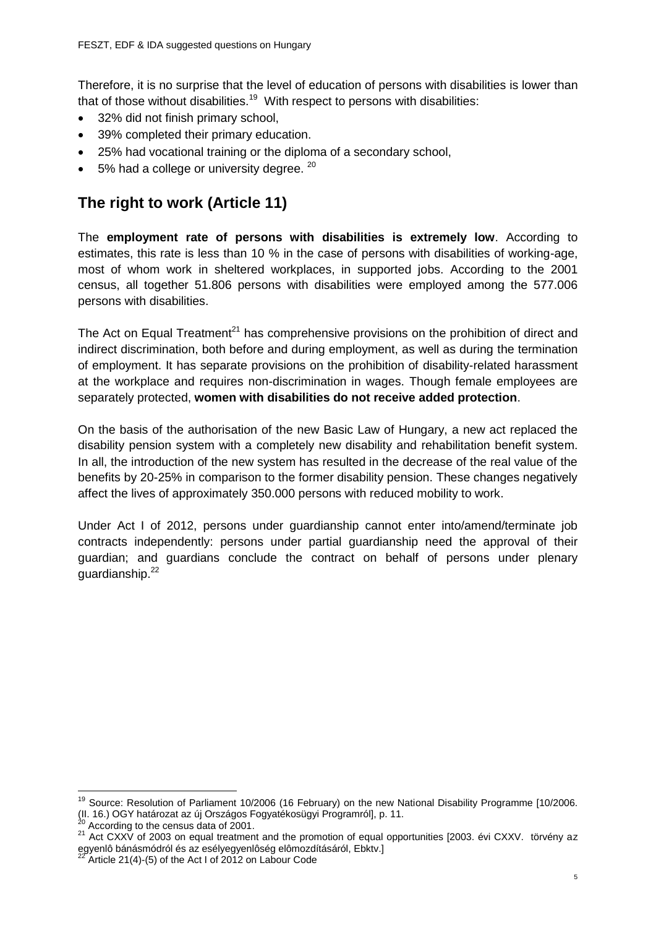Therefore, it is no surprise that the level of education of persons with disabilities is lower than that of those without disabilities.<sup>19</sup> With respect to persons with disabilities:

- 32% did not finish primary school,
- 39% completed their primary education.
- 25% had vocational training or the diploma of a secondary school,
- $\bullet$  5% had a college or university degree.  $20$

# **The right to work (Article 11)**

The **employment rate of persons with disabilities is extremely low**. According to estimates, this rate is less than 10 % in the case of persons with disabilities of working-age, most of whom work in sheltered workplaces, in supported jobs. According to the 2001 census, all together 51.806 persons with disabilities were employed among the 577.006 persons with disabilities.

The Act on Equal Treatment<sup>21</sup> has comprehensive provisions on the prohibition of direct and indirect discrimination, both before and during employment, as well as during the termination of employment. It has separate provisions on the prohibition of disability-related harassment at the workplace and requires non-discrimination in wages. Though female employees are separately protected, **women with disabilities do not receive added protection**.

On the basis of the authorisation of the new Basic Law of Hungary, a new act replaced the disability pension system with a completely new disability and rehabilitation benefit system. In all, the introduction of the new system has resulted in the decrease of the real value of the benefits by 20-25% in comparison to the former disability pension. These changes negatively affect the lives of approximately 350.000 persons with reduced mobility to work.

Under Act I of 2012, persons under guardianship cannot enter into/amend/terminate job contracts independently: persons under partial guardianship need the approval of their guardian; and guardians conclude the contract on behalf of persons under plenary guardianship.<sup>22</sup>

 $\overline{a}$ 

<sup>&</sup>lt;sup>19</sup> Source: Resolution of Parliament 10/2006 (16 February) on the new National Disability Programme [10/2006. (II. 16.) OGY határozat az új Országos Fogyatékosügyi Programról], p. 11.

According to the census data of 2001.

<sup>&</sup>lt;sup>21</sup> Act CXXV of 2003 on equal treatment and the promotion of equal opportunities [2003. évi CXXV. törvény az egyenlô bánásmódról és az esélyegyenlôség elômozdításáról, Ebktv.]<br><sup>22</sup> Article 24/4) (5) (1)

Article 21(4)-(5) of the Act I of 2012 on Labour Code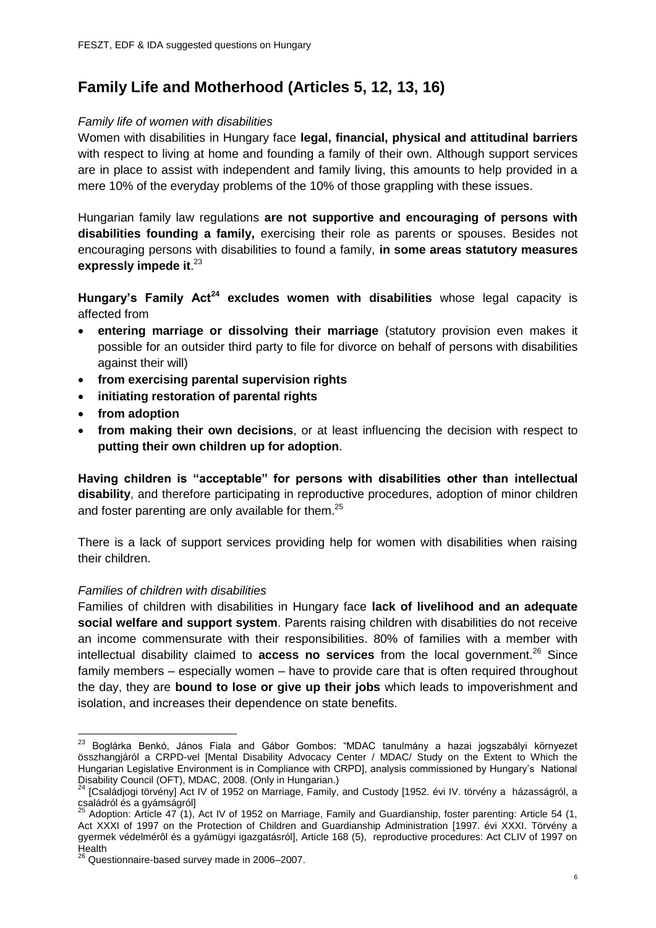# **Family Life and Motherhood (Articles 5, 12, 13, 16)**

### *Family life of women with disabilities*

Women with disabilities in Hungary face **legal, financial, physical and attitudinal barriers** with respect to living at home and founding a family of their own. Although support services are in place to assist with independent and family living, this amounts to help provided in a mere 10% of the everyday problems of the 10% of those grappling with these issues.

Hungarian family law regulations **are not supportive and encouraging of persons with disabilities founding a family,** exercising their role as parents or spouses. Besides not encouraging persons with disabilities to found a family, **in some areas statutory measures expressly impede it**. 23

**Hungary's Family Act<sup>24</sup> excludes women with disabilities** whose legal capacity is affected from

- **entering marriage or dissolving their marriage** (statutory provision even makes it possible for an outsider third party to file for divorce on behalf of persons with disabilities against their will)
- **from exercising parental supervision rights**
- **initiating restoration of parental rights**
- **from adoption**
- **from making their own decisions**, or at least influencing the decision with respect to **putting their own children up for adoption**.

**Having children is "acceptable" for persons with disabilities other than intellectual disability**, and therefore participating in reproductive procedures, adoption of minor children and foster parenting are only available for them. $25$ 

There is a lack of support services providing help for women with disabilities when raising their children.

### *Families of children with disabilities*

Families of children with disabilities in Hungary face **lack of livelihood and an adequate social welfare and support system**. Parents raising children with disabilities do not receive an income commensurate with their responsibilities. 80% of families with a member with intellectual disability claimed to **access no services** from the local government.<sup>26</sup> Since family members – especially women – have to provide care that is often required throughout the day, they are **bound to lose or give up their jobs** which leads to impoverishment and isolation, and increases their dependence on state benefits.

**<sup>.</sup>** <sup>23</sup> Boglárka Benkó, János Fiala and Gábor Gombos: "MDAC tanulmány a hazai jogszabályi környezet összhangjáról a CRPD-vel [Mental Disability Advocacy Center / MDAC/ Study on the Extent to Which the Hungarian Legislative Environment is in Compliance with CRPD], analysis commissioned by Hungary's National Disability Council (OFT), MDAC, 2008. (Only in Hungarian.)

<sup>24</sup> [Családjogi törvény] Act IV of 1952 on Marriage, Family, and Custody [1952. évi IV. törvény a házasságról, a családról és a gyámságról]

 $25$  Adoption: Article 47 (1), Act IV of 1952 on Marriage, Family and Guardianship, foster parenting: Article 54 (1, Act XXXI of 1997 on the Protection of Children and Guardianship Administration [1997. évi XXXI. Törvény a gyermek védelmérôl és a gyámügyi igazgatásról], Article 168 (5), reproductive procedures: Act CLIV of 1997 on Health

 $^{26}$  Questionnaire-based survey made in 2006–2007.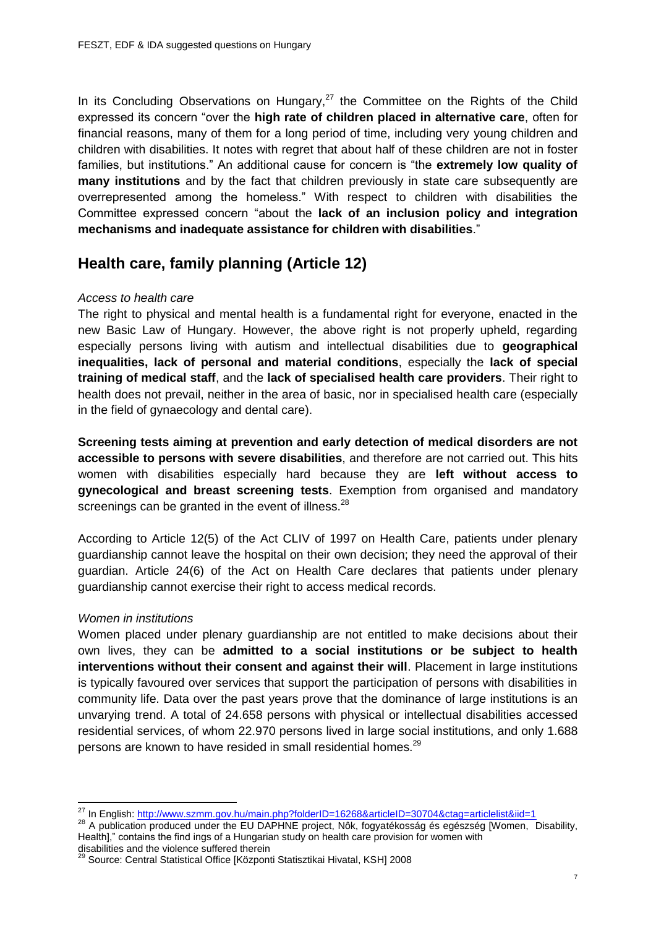In its Concluding Observations on Hungary, $27$  the Committee on the Rights of the Child expressed its concern "over the **high rate of children placed in alternative care**, often for financial reasons, many of them for a long period of time, including very young children and children with disabilities. It notes with regret that about half of these children are not in foster families, but institutions." An additional cause for concern is "the **extremely low quality of many institutions** and by the fact that children previously in state care subsequently are overrepresented among the homeless." With respect to children with disabilities the Committee expressed concern "about the **lack of an inclusion policy and integration mechanisms and inadequate assistance for children with disabilities**."

# **Health care, family planning (Article 12)**

## *Access to health care*

The right to physical and mental health is a fundamental right for everyone, enacted in the new Basic Law of Hungary. However, the above right is not properly upheld, regarding especially persons living with autism and intellectual disabilities due to **geographical inequalities, lack of personal and material conditions**, especially the **lack of special training of medical staff**, and the **lack of specialised health care providers**. Their right to health does not prevail, neither in the area of basic, nor in specialised health care (especially in the field of gynaecology and dental care).

**Screening tests aiming at prevention and early detection of medical disorders are not accessible to persons with severe disabilities**, and therefore are not carried out. This hits women with disabilities especially hard because they are **left without access to gynecological and breast screening tests**. Exemption from organised and mandatory screenings can be granted in the event of illness.<sup>28</sup>

According to Article 12(5) of the Act CLIV of 1997 on Health Care, patients under plenary guardianship cannot leave the hospital on their own decision; they need the approval of their guardian. Article 24(6) of the Act on Health Care declares that patients under plenary guardianship cannot exercise their right to access medical records.

# *Women in institutions*

**.** 

Women placed under plenary guardianship are not entitled to make decisions about their own lives, they can be **admitted to a social institutions or be subject to health interventions without their consent and against their will**. Placement in large institutions is typically favoured over services that support the participation of persons with disabilities in community life. Data over the past years prove that the dominance of large institutions is an unvarying trend. A total of 24.658 persons with physical or intellectual disabilities accessed residential services, of whom 22.970 persons lived in large social institutions, and only 1.688 persons are known to have resided in small residential homes.<sup>29</sup>

<sup>&</sup>lt;sup>27</sup> In English: <http://www.szmm.gov.hu/main.php?folderID=16268&articleID=30704&ctag=articlelist&iid=1>

<sup>28</sup> A publication produced under the EU DAPHNE project, Nôk, fogyatékosság és egészség [Women, Disability, Health]," contains the find ings of a Hungarian study on health care provision for women with disabilities and the violence suffered therein

<sup>&</sup>lt;sup>29</sup> Source: Central Statistical Office [Központi Statisztikai Hivatal, KSH] 2008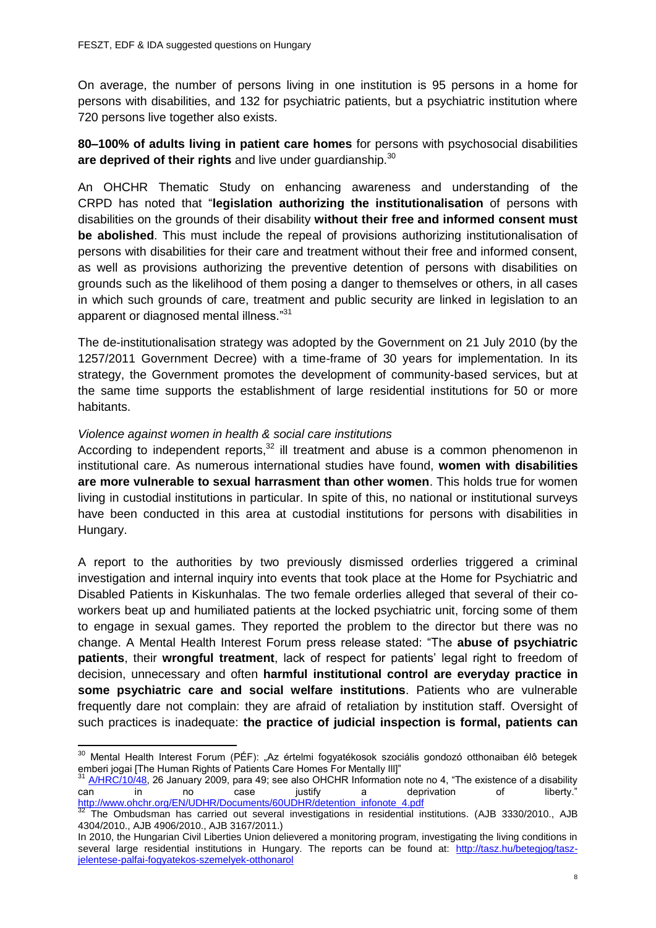On average, the number of persons living in one institution is 95 persons in a home for persons with disabilities, and 132 for psychiatric patients, but a psychiatric institution where 720 persons live together also exists.

**80–100% of adults living in patient care homes** for persons with psychosocial disabilities are deprived of their rights and live under quardianship.<sup>30</sup>

An OHCHR Thematic Study on enhancing awareness and understanding of the CRPD has noted that "**legislation authorizing the institutionalisation** of persons with disabilities on the grounds of their disability **without their free and informed consent must be abolished**. This must include the repeal of provisions authorizing institutionalisation of persons with disabilities for their care and treatment without their free and informed consent, as well as provisions authorizing the preventive detention of persons with disabilities on grounds such as the likelihood of them posing a danger to themselves or others, in all cases in which such grounds of care, treatment and public security are linked in legislation to an apparent or diagnosed mental illness."31

The de-institutionalisation strategy was adopted by the Government on 21 July 2010 (by the 1257/2011 Government Decree) with a time-frame of 30 years for implementation. In its strategy, the Government promotes the development of community-based services, but at the same time supports the establishment of large residential institutions for 50 or more habitants.

### *Violence against women in health & social care institutions*

**.** 

According to independent reports, $32$  ill treatment and abuse is a common phenomenon in institutional care. As numerous international studies have found, **women with disabilities are more vulnerable to sexual harrasment than other women**. This holds true for women living in custodial institutions in particular. In spite of this, no national or institutional surveys have been conducted in this area at custodial institutions for persons with disabilities in Hungary.

A report to the authorities by two previously dismissed orderlies triggered a criminal investigation and internal inquiry into events that took place at the Home for Psychiatric and Disabled Patients in Kiskunhalas. The two female orderlies alleged that several of their coworkers beat up and humiliated patients at the locked psychiatric unit, forcing some of them to engage in sexual games. They reported the problem to the director but there was no change. A Mental Health Interest Forum press release stated: "The **abuse of psychiatric patients**, their **wrongful treatment**, lack of respect for patients' legal right to freedom of decision, unnecessary and often **harmful institutional control are everyday practice in some psychiatric care and social welfare institutions**. Patients who are vulnerable frequently dare not complain: they are afraid of retaliation by institution staff. Oversight of such practices is inadequate: **the practice of judicial inspection is formal, patients can** 

<sup>&</sup>lt;sup>30</sup> Mental Health Interest Forum (PÉF): "Az értelmi fogyatékosok szociális gondozó otthonaiban élô betegek emberi jogai [The Human Rights of Patients Care Homes For Mentally III]"<br>31 A/LIDO 40.00 CAR CO Ratients Care Homes For Mentally III]"

<sup>31</sup> [A/HRC/10/48,](http://www2.ohchr.org/english/bodies/hrcouncil/docs/10session/A.HRC.10.48.pdf) 26 January 2009, para 49; see also OHCHR Information note no 4, "The existence of a disability can in no case justify a deprivation of liberty." [http://www.ohchr.org/EN/UDHR/Documents/60UDHR/detention\\_infonote\\_4.pdf](http://www.ohchr.org/EN/UDHR/Documents/60UDHR/detention_infonote_4.pdf)

The Ombudsman has carried out several investigations in residential institutions. (AJB 3330/2010., AJB 4304/2010., AJB 4906/2010., AJB 3167/2011.)

In 2010, the Hungarian Civil Liberties Union delievered a monitoring program, investigating the living conditions in several large residential institutions in Hungary. The reports can be found at: [http://tasz.hu/betegjog/tasz](http://tasz.hu/betegjog/tasz-jelentese-palfai-fogyatekos-szemelyek-otthonarol)[jelentese-palfai-fogyatekos-szemelyek-otthonarol](http://tasz.hu/betegjog/tasz-jelentese-palfai-fogyatekos-szemelyek-otthonarol)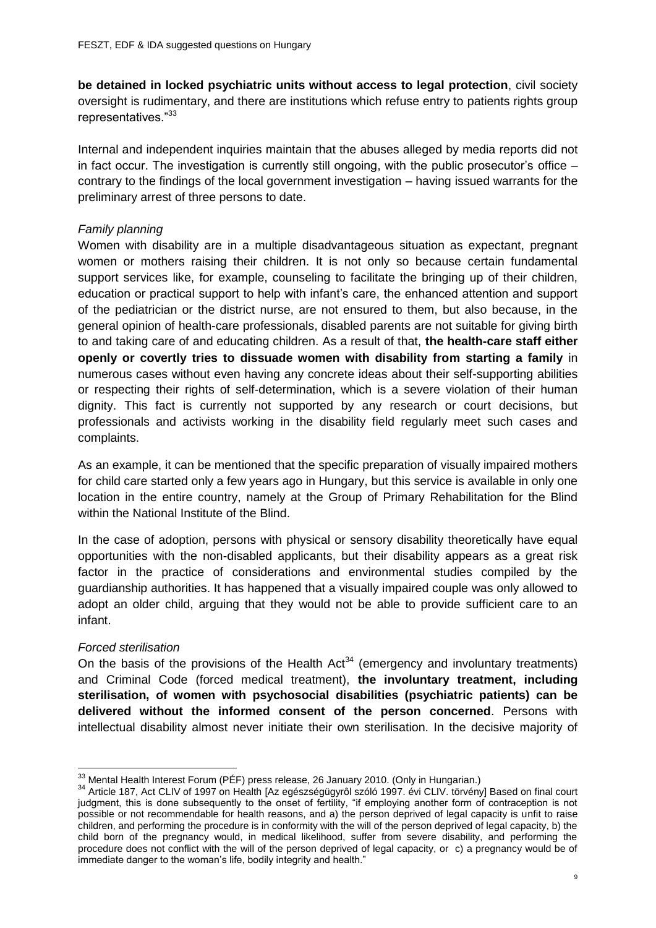**be detained in locked psychiatric units without access to legal protection**, civil society oversight is rudimentary, and there are institutions which refuse entry to patients rights group representatives."33

Internal and independent inquiries maintain that the abuses alleged by media reports did not in fact occur. The investigation is currently still ongoing, with the public prosecutor's office – contrary to the findings of the local government investigation – having issued warrants for the preliminary arrest of three persons to date.

## *Family planning*

Women with disability are in a multiple disadvantageous situation as expectant, pregnant women or mothers raising their children. It is not only so because certain fundamental support services like, for example, counseling to facilitate the bringing up of their children, education or practical support to help with infant's care, the enhanced attention and support of the pediatrician or the district nurse, are not ensured to them, but also because, in the general opinion of health-care professionals, disabled parents are not suitable for giving birth to and taking care of and educating children. As a result of that, **the health-care staff either openly or covertly tries to dissuade women with disability from starting a family** in numerous cases without even having any concrete ideas about their self-supporting abilities or respecting their rights of self-determination, which is a severe violation of their human dignity. This fact is currently not supported by any research or court decisions, but professionals and activists working in the disability field regularly meet such cases and complaints.

As an example, it can be mentioned that the specific preparation of visually impaired mothers for child care started only a few years ago in Hungary, but this service is available in only one location in the entire country, namely at the Group of Primary Rehabilitation for the Blind within the National Institute of the Blind.

In the case of adoption, persons with physical or sensory disability theoretically have equal opportunities with the non-disabled applicants, but their disability appears as a great risk factor in the practice of considerations and environmental studies compiled by the guardianship authorities. It has happened that a visually impaired couple was only allowed to adopt an older child, arguing that they would not be able to provide sufficient care to an infant.

### *Forced sterilisation*

On the basis of the provisions of the Health  $Act<sup>34</sup>$  (emergency and involuntary treatments) and Criminal Code (forced medical treatment), **the involuntary treatment, including sterilisation, of women with psychosocial disabilities (psychiatric patients) can be delivered without the informed consent of the person concerned**. Persons with intellectual disability almost never initiate their own sterilisation. In the decisive majority of

  $^{33}$  Mental Health Interest Forum (PÉF) press release, 26 January 2010. (Only in Hungarian.)

<sup>34</sup> Article 187, Act CLIV of 1997 on Health [Az egészségügyrôl szóló 1997. évi CLIV. törvény] Based on final court judgment, this is done subsequently to the onset of fertility, "if employing another form of contraception is not possible or not recommendable for health reasons, and a) the person deprived of legal capacity is unfit to raise children, and performing the procedure is in conformity with the will of the person deprived of legal capacity, b) the child born of the pregnancy would, in medical likelihood, suffer from severe disability, and performing the procedure does not conflict with the will of the person deprived of legal capacity, or c) a pregnancy would be of immediate danger to the woman's life, bodily integrity and health."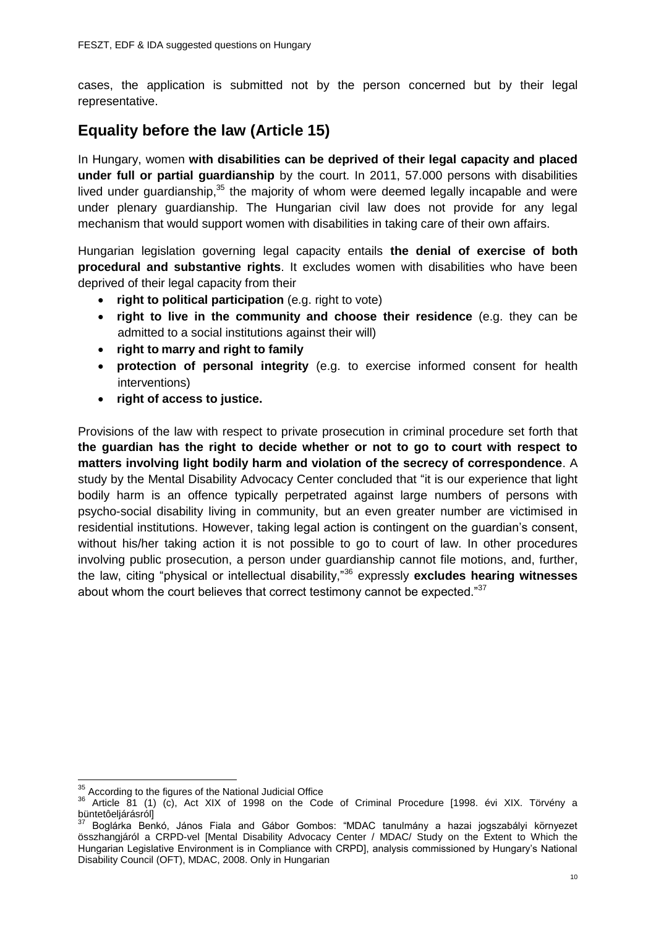cases, the application is submitted not by the person concerned but by their legal representative.

# **Equality before the law (Article 15)**

In Hungary, women **with disabilities can be deprived of their legal capacity and placed under full or partial guardianship** by the court. In 2011, 57.000 persons with disabilities lived under guardianship,<sup>35</sup> the majority of whom were deemed legally incapable and were under plenary guardianship. The Hungarian civil law does not provide for any legal mechanism that would support women with disabilities in taking care of their own affairs.

Hungarian legislation governing legal capacity entails **the denial of exercise of both procedural and substantive rights**. It excludes women with disabilities who have been deprived of their legal capacity from their

- **right to political participation** (e.g. right to vote)
- **right to live in the community and choose their residence** (e.g. they can be admitted to a social institutions against their will)
- **right to marry and right to family**
- **protection of personal integrity** (e.g. to exercise informed consent for health interventions)
- **right of access to justice.**

Provisions of the law with respect to private prosecution in criminal procedure set forth that **the guardian has the right to decide whether or not to go to court with respect to matters involving light bodily harm and violation of the secrecy of correspondence**. A study by the Mental Disability Advocacy Center concluded that "it is our experience that light bodily harm is an offence typically perpetrated against large numbers of persons with psycho-social disability living in community, but an even greater number are victimised in residential institutions. However, taking legal action is contingent on the guardian's consent, without his/her taking action it is not possible to go to court of law. In other procedures involving public prosecution, a person under guardianship cannot file motions, and, further, the law, citing "physical or intellectual disability,"<sup>36</sup> expressly **excludes hearing witnesses** about whom the court believes that correct testimony cannot be expected."37

**<sup>.</sup>**  $35$  According to the figures of the National Judicial Office

<sup>36</sup> Article 81 (1) (c), Act XIX of 1998 on the Code of Criminal Procedure [1998. évi XIX. Törvény a büntetôeljárásról]

<sup>37</sup> Boglárka Benkó, János Fiala and Gábor Gombos: "MDAC tanulmány a hazai jogszabályi környezet összhangjáról a CRPD-vel [Mental Disability Advocacy Center / MDAC/ Study on the Extent to Which the Hungarian Legislative Environment is in Compliance with CRPD], analysis commissioned by Hungary's National Disability Council (OFT), MDAC, 2008. Only in Hungarian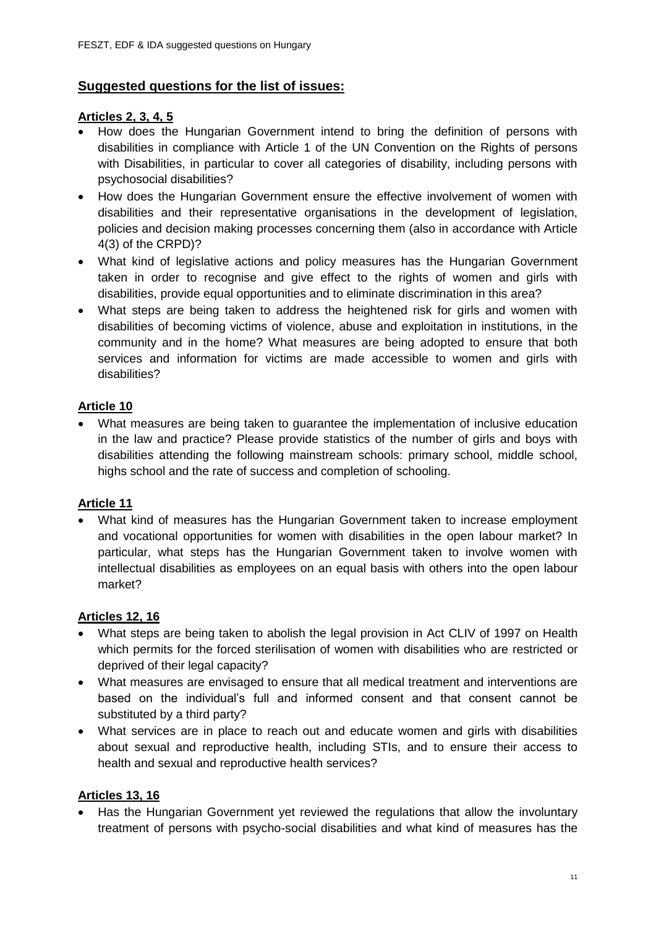# **Suggested questions for the list of issues:**

## **Articles 2, 3, 4, 5**

- How does the Hungarian Government intend to bring the definition of persons with disabilities in compliance with Article 1 of the UN Convention on the Rights of persons with Disabilities, in particular to cover all categories of disability, including persons with psychosocial disabilities?
- How does the Hungarian Government ensure the effective involvement of women with disabilities and their representative organisations in the development of legislation, policies and decision making processes concerning them (also in accordance with Article 4(3) of the CRPD)?
- What kind of legislative actions and policy measures has the Hungarian Government taken in order to recognise and give effect to the rights of women and girls with disabilities, provide equal opportunities and to eliminate discrimination in this area?
- What steps are being taken to address the heightened risk for girls and women with disabilities of becoming victims of violence, abuse and exploitation in institutions, in the community and in the home? What measures are being adopted to ensure that both services and information for victims are made accessible to women and girls with disabilities?

# **Article 10**

 What measures are being taken to guarantee the implementation of inclusive education in the law and practice? Please provide statistics of the number of girls and boys with disabilities attending the following mainstream schools: primary school, middle school, highs school and the rate of success and completion of schooling.

# **Article 11**

 What kind of measures has the Hungarian Government taken to increase employment and vocational opportunities for women with disabilities in the open labour market? In particular, what steps has the Hungarian Government taken to involve women with intellectual disabilities as employees on an equal basis with others into the open labour market?

# **Articles 12, 16**

- What steps are being taken to abolish the legal provision in Act CLIV of 1997 on Health which permits for the forced sterilisation of women with disabilities who are restricted or deprived of their legal capacity?
- What measures are envisaged to ensure that all medical treatment and interventions are based on the individual's full and informed consent and that consent cannot be substituted by a third party?
- What services are in place to reach out and educate women and girls with disabilities about sexual and reproductive health, including STIs, and to ensure their access to health and sexual and reproductive health services?

### **Articles 13, 16**

 Has the Hungarian Government yet reviewed the regulations that allow the involuntary treatment of persons with psycho-social disabilities and what kind of measures has the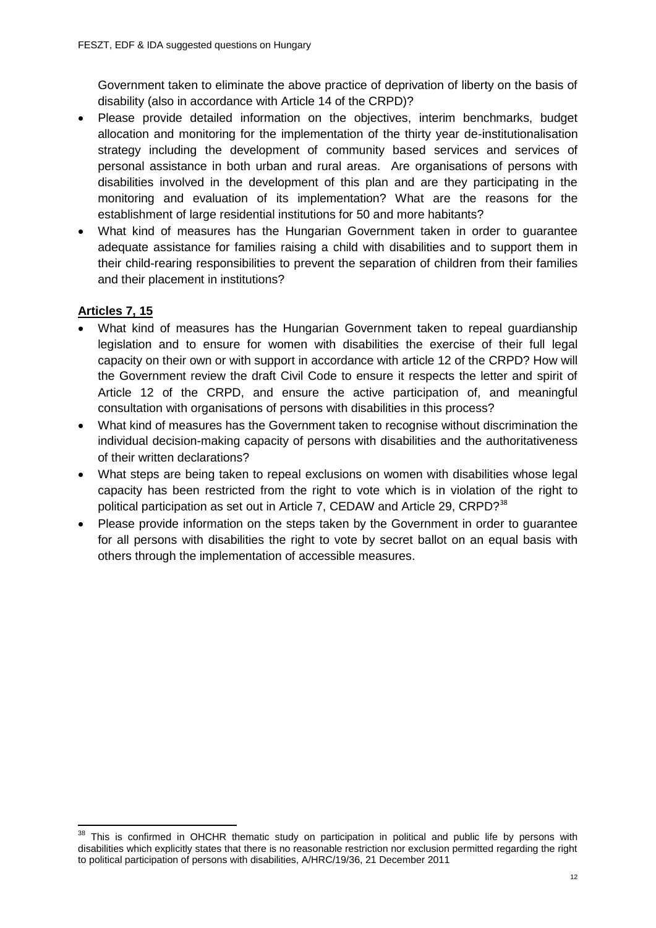Government taken to eliminate the above practice of deprivation of liberty on the basis of disability (also in accordance with Article 14 of the CRPD)?

- Please provide detailed information on the objectives, interim benchmarks, budget allocation and monitoring for the implementation of the thirty year de-institutionalisation strategy including the development of community based services and services of personal assistance in both urban and rural areas. Are organisations of persons with disabilities involved in the development of this plan and are they participating in the monitoring and evaluation of its implementation? What are the reasons for the establishment of large residential institutions for 50 and more habitants?
- What kind of measures has the Hungarian Government taken in order to guarantee adequate assistance for families raising a child with disabilities and to support them in their child-rearing responsibilities to prevent the separation of children from their families and their placement in institutions?

# **Articles 7, 15**

- What kind of measures has the Hungarian Government taken to repeal guardianship legislation and to ensure for women with disabilities the exercise of their full legal capacity on their own or with support in accordance with article 12 of the CRPD? How will the Government review the draft Civil Code to ensure it respects the letter and spirit of Article 12 of the CRPD, and ensure the active participation of, and meaningful consultation with organisations of persons with disabilities in this process?
- What kind of measures has the Government taken to recognise without discrimination the individual decision-making capacity of persons with disabilities and the authoritativeness of their written declarations?
- What steps are being taken to repeal exclusions on women with disabilities whose legal capacity has been restricted from the right to vote which is in violation of the right to political participation as set out in Article 7, CEDAW and Article 29, CRPD?<sup>38</sup>
- Please provide information on the steps taken by the Government in order to guarantee for all persons with disabilities the right to vote by secret ballot on an equal basis with others through the implementation of accessible measures.

 $\overline{a}$ This is confirmed in OHCHR thematic study on participation in political and public life by persons with disabilities which explicitly states that there is no reasonable restriction nor exclusion permitted regarding the right to political participation of persons with disabilities, A/HRC/19/36, 21 December 2011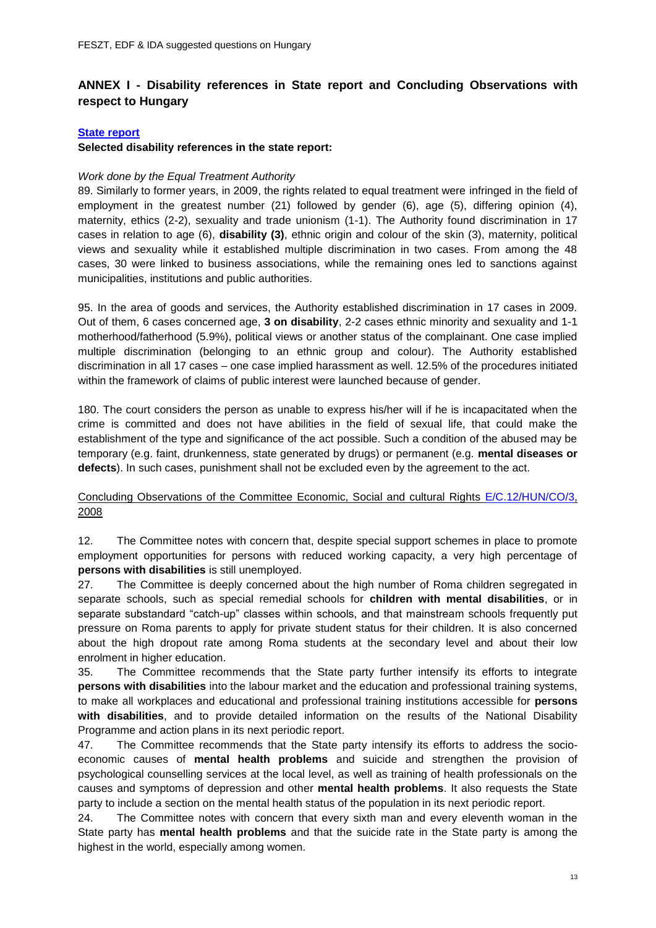## **ANNEX I - Disability references in State report and Concluding Observations with respect to Hungary**

#### **[State report](http://www2.ohchr.org/english/bodies/cedaw/docs/54/CEDAW-C-HUN-7-8.pdf)**

#### **Selected disability references in the state report:**

#### *Work done by the Equal Treatment Authority*

89. Similarly to former years, in 2009, the rights related to equal treatment were infringed in the field of employment in the greatest number (21) followed by gender (6), age (5), differing opinion (4), maternity, ethics (2-2), sexuality and trade unionism (1-1). The Authority found discrimination in 17 cases in relation to age (6), **disability (3)**, ethnic origin and colour of the skin (3), maternity, political views and sexuality while it established multiple discrimination in two cases. From among the 48 cases, 30 were linked to business associations, while the remaining ones led to sanctions against municipalities, institutions and public authorities.

95. In the area of goods and services, the Authority established discrimination in 17 cases in 2009. Out of them, 6 cases concerned age, **3 on disability**, 2-2 cases ethnic minority and sexuality and 1-1 motherhood/fatherhood (5.9%), political views or another status of the complainant. One case implied multiple discrimination (belonging to an ethnic group and colour). The Authority established discrimination in all 17 cases – one case implied harassment as well. 12.5% of the procedures initiated within the framework of claims of public interest were launched because of gender.

180. The court considers the person as unable to express his/her will if he is incapacitated when the crime is committed and does not have abilities in the field of sexual life, that could make the establishment of the type and significance of the act possible. Such a condition of the abused may be temporary (e.g. faint, drunkenness, state generated by drugs) or permanent (e.g. **mental diseases or defects**). In such cases, punishment shall not be excluded even by the agreement to the act.

#### Concluding Observations of the Committee Economic, Social and cultural Rights [E/C.12/HUN/CO/3,](http://uhri.ohchr.org/document/index/22a9b0c5-2d1c-44f8-b1f2-3d9470cce4fa) 2008

12. The Committee notes with concern that, despite special support schemes in place to promote employment opportunities for persons with reduced working capacity, a very high percentage of **persons with disabilities** is still unemployed.

27. The Committee is deeply concerned about the high number of Roma children segregated in separate schools, such as special remedial schools for **children with mental disabilities**, or in separate substandard "catch-up" classes within schools, and that mainstream schools frequently put pressure on Roma parents to apply for private student status for their children. It is also concerned about the high dropout rate among Roma students at the secondary level and about their low enrolment in higher education.

35. The Committee recommends that the State party further intensify its efforts to integrate **persons with disabilities** into the labour market and the education and professional training systems, to make all workplaces and educational and professional training institutions accessible for **persons with disabilities**, and to provide detailed information on the results of the National Disability Programme and action plans in its next periodic report.

47. The Committee recommends that the State party intensify its efforts to address the socioeconomic causes of **mental health problems** and suicide and strengthen the provision of psychological counselling services at the local level, as well as training of health professionals on the causes and symptoms of depression and other **mental health problems**. It also requests the State party to include a section on the mental health status of the population in its next periodic report.

24. The Committee notes with concern that every sixth man and every eleventh woman in the State party has **mental health problems** and that the suicide rate in the State party is among the highest in the world, especially among women.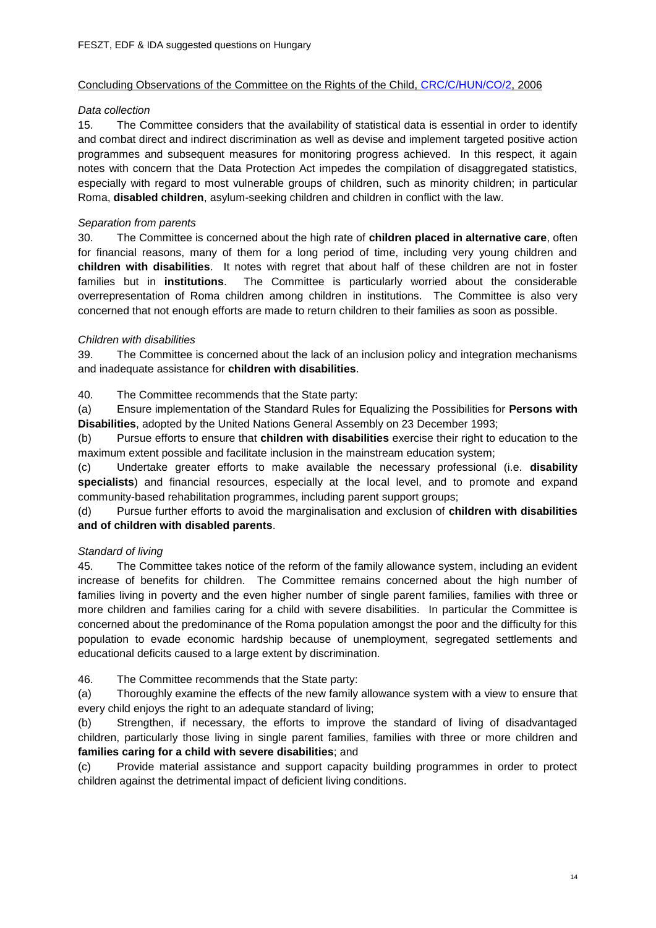#### Concluding Observations of the Committee on the Rights of the Child, [CRC/C/HUN/CO/2,](http://uhri.ohchr.org/document/index/93669dca-fcbb-4bf1-b7c7-e696bd5ad815) 2006

#### *Data collection*

15. The Committee considers that the availability of statistical data is essential in order to identify and combat direct and indirect discrimination as well as devise and implement targeted positive action programmes and subsequent measures for monitoring progress achieved. In this respect, it again notes with concern that the Data Protection Act impedes the compilation of disaggregated statistics, especially with regard to most vulnerable groups of children, such as minority children; in particular Roma, **disabled children**, asylum-seeking children and children in conflict with the law.

#### *Separation from parents*

30. The Committee is concerned about the high rate of **children placed in alternative care**, often for financial reasons, many of them for a long period of time, including very young children and **children with disabilities**. It notes with regret that about half of these children are not in foster families but in **institutions**. The Committee is particularly worried about the considerable overrepresentation of Roma children among children in institutions. The Committee is also very concerned that not enough efforts are made to return children to their families as soon as possible.

#### *Children with disabilities*

39. The Committee is concerned about the lack of an inclusion policy and integration mechanisms and inadequate assistance for **children with disabilities**.

40. The Committee recommends that the State party:

(a) Ensure implementation of the Standard Rules for Equalizing the Possibilities for **Persons with Disabilities**, adopted by the United Nations General Assembly on 23 December 1993;

(b) Pursue efforts to ensure that **children with disabilities** exercise their right to education to the maximum extent possible and facilitate inclusion in the mainstream education system;

(c) Undertake greater efforts to make available the necessary professional (i.e. **disability specialists**) and financial resources, especially at the local level, and to promote and expand community-based rehabilitation programmes, including parent support groups;

(d) Pursue further efforts to avoid the marginalisation and exclusion of **children with disabilities and of children with disabled parents**.

#### *Standard of living*

45. The Committee takes notice of the reform of the family allowance system, including an evident increase of benefits for children. The Committee remains concerned about the high number of families living in poverty and the even higher number of single parent families, families with three or more children and families caring for a child with severe disabilities. In particular the Committee is concerned about the predominance of the Roma population amongst the poor and the difficulty for this population to evade economic hardship because of unemployment, segregated settlements and educational deficits caused to a large extent by discrimination.

46. The Committee recommends that the State party:

(a) Thoroughly examine the effects of the new family allowance system with a view to ensure that every child enjoys the right to an adequate standard of living:

(b) Strengthen, if necessary, the efforts to improve the standard of living of disadvantaged children, particularly those living in single parent families, families with three or more children and **families caring for a child with severe disabilities**; and

(c) Provide material assistance and support capacity building programmes in order to protect children against the detrimental impact of deficient living conditions.